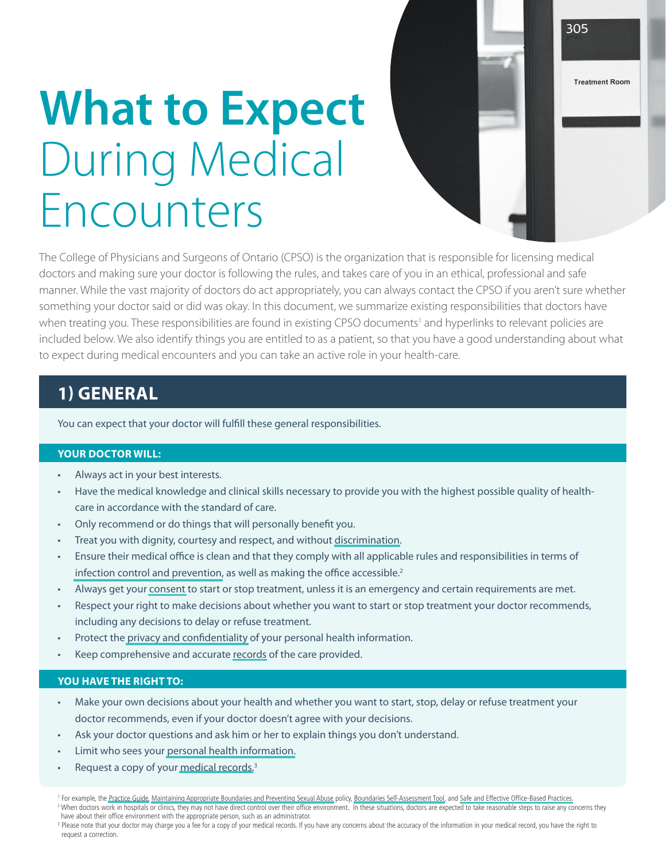# **What to Expect** During Medical Encounters

The College of Physicians and Surgeons of Ontario (CPSO) is the organization that is responsible for licensing medical doctors and making sure your doctor is following the rules, and takes care of you in an ethical, professional and safe manner. While the vast majority of doctors do act appropriately, you can always contact the CPSO if you aren't sure whether something your doctor said or did was okay. In this document, we summarize existing responsibilities that doctors have when treating you. These responsibilities are found in existing CPSO documents<sup>1</sup> and hyperlinks to relevant policies are included below. We also identify things you are entitled to as a patient, so that you have a good understanding about what to expect during medical encounters and you can take an active role in your health-care.

305

**Treatment Room** 

## **1) GENERAL**

You can expect that your doctor will fulfill these general responsibilities.

## **YOUR DOCTOR WILL:**

- Always act in your best interests.
- Have the medical knowledge and clinical skills necessary to provide you with the highest possible quality of healthcare in accordance with the standard of care.
- • Only recommend or do things that will personally benefit you.
- Treat you with dignity, courtesy and respect, and without [discrimination.](http://www.cpso.on.ca/Policies-Publications/Policy/Professional-Obligations-and-Human-Rights)
- Ensure their medical office is clean and that they comply with all applicable rules and responsibilities in terms of infection control and [prevention,](http://www.cpso.on.ca/uploadedFiles/policies/guidelines/office/Safe-Practices.pdf) as well as making the office accessible.<sup>2</sup>
- Always get your [consent](http://www.cpso.on.ca/Policies-Publications/Policy/Consent-to-Treatment) to start or stop treatment, unless it is an emergency and certain requirements are met.
- Respect your right to make decisions about whether you want to start or stop treatment your doctor recommends, including any decisions to delay or refuse treatment.
- Protect the privacy and [confidentiality](http://www.cpso.on.ca/Policies-Publications/Policy/Confidentiality-of-Personal-Health-Information) of your personal health information.
- Keep comprehensive and accurate [records](http://www.cpso.on.ca/Policies-Publications/Policy/Medical-Records) of the care provided.

#### **YOU HAVE THE RIGHT TO:**

- Make your own decisions about your health and whether you want to start, stop, delay or refuse treatment your doctor recommends, even if your doctor doesn't agree with your decisions.
- Ask your doctor questions and ask him or her to explain things you don't understand.
- Limit who sees your personal health [information.](http://www.cpso.on.ca/Policies-Publications/Policy/Confidentiality-of-Personal-Health-Information)
- Request a copy of your [medical](http://www.cpso.on.ca/Policies-Publications/Policy/Medical-Records) records.<sup>3</sup>

<sup>&</sup>lt;sup>1</sup> For example, the [Practice Guide,](http://www.cpso.on.ca/Policies-Publications/The-Practice-Guide-Medical-Professionalism-and-Col) [Maintaining Appropriate Boundaries and Preventing Sexual Abuse](http://www.cpso.on.ca/policies-publications/policy/maintaining-appropriate-boundaries-and-preventing) policy, [Boundaries Self-Assessment Tool,](http://www.cpso.on.ca/CPSO/media/images/Maintaining-Boundaries.pdf) and [Safe and Effective Office-Based Practices.](http://www.cpso.on.ca/uploadedFiles/policies/guidelines/office/Safe-Practices.pdf) <sup>2</sup> When doctors work in hospitals or clinics, they may not have direct control over their office environment. In these situations, doctors are expected to take reasonable steps to raise any concerns they

have about their office environment with the appropriate person, such as an administrator. <sup>3</sup> Please note that your doctor may charge you a fee for a copy of your medical records. If you have any concerns about the accuracy of the information in your medical record, you have the right to request a correction.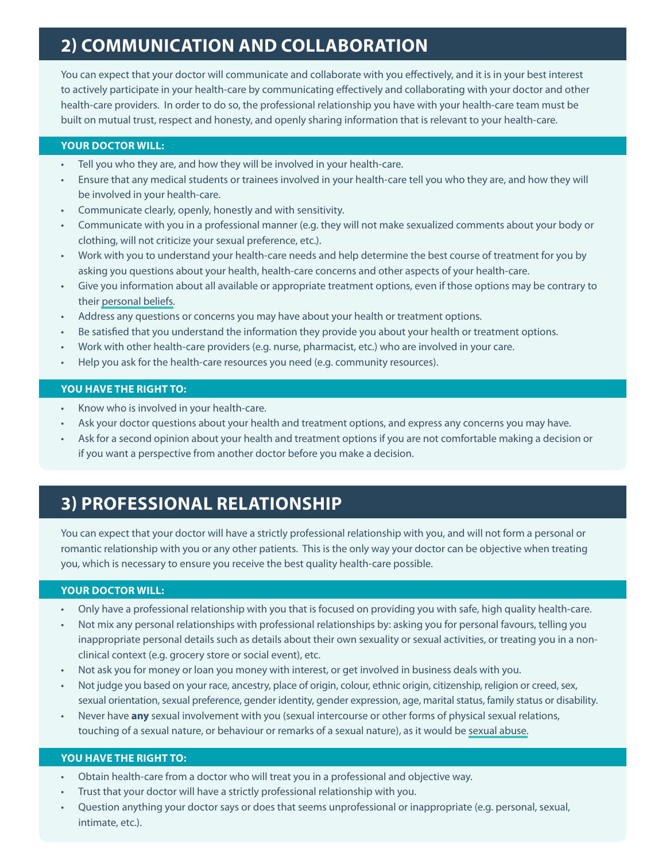## **2) COMMUNICATION AND COLLABORATION**

You can expect that your doctor will communicate and collaborate with you effectively, and it is in your best interest to actively participate in your health-care by communicating effectively and collaborating with your doctor and other health-care providers. In order to do so, the professional relationship you have with your health-care team must be built on mutual trust, respect and honesty, and openly sharing information that is relevant to your health-care.

## **YOUR DOCTOR WILL:**

- Tell you who they are, and how they will be involved in your health-care.
- Ensure that any medical students or trainees involved in your health-care tell you who they are, and how they will be involved in your health-care.
- Communicate clearly, openly, honestly and with sensitivity.
- Communicate with you in a professional manner (e.g. they will not make sexualized comments about your body or clothing, will not criticize your sexual preference, etc.).
- • Work with you to understand your health-care needs and help determine the best course of treatment for you by asking you questions about your health, health-care concerns and other aspects of your health-care.
- Give you information about all available or appropriate treatment options, even if those options may be contrary to their [personal](http://www.cpso.on.ca/Policies-Publications/Policy/Professional-Obligations-and-Human-Rights) beliefs.
- Address any questions or concerns you may have about your health or treatment options.
- Be satisfied that you understand the information they provide you about your health or treatment options.
- Work with other health-care providers (e.g. nurse, pharmacist, etc.) who are involved in your care.
- Help you ask for the health-care resources you need (e.g. community resources).

## **YOU HAVE THE RIGHT TO:**

- Know who is involved in your health-care.
- Ask your doctor questions about your health and treatment options, and express any concerns you may have.
- Ask for a second opinion about your health and treatment options if you are not comfortable making a decision or if you want a perspective from another doctor before you make a decision.

## **3) PROFESSIONAL RELATIONSHIP**

You can expect that your doctor will have a strictly professional relationship with you, and will not form a personal or romantic relationship with you or any other patients. This is the only way your doctor can be objective when treating you, which is necessary to ensure you receive the best quality health-care possible.

#### **YOUR DOCTOR WILL:**

- Only have a professional relationship with you that is focused on providing you with safe, high quality health-care.
- Not mix any personal relationships with professional relationships by: asking you for personal favours, telling you inappropriate personal details such as details about their own sexuality or sexual activities, or treating you in a nonclinical context (e.g. grocery store or social event), etc.
- Not ask you for money or loan you money with interest, or get involved in business deals with you.
- Not judge you based on your race, ancestry, place of origin, colour, ethnic origin, citizenship, religion or creed, sex, sexual orientation, sexual preference, gender identity, gender expression, age, marital status, family status or disability.
- Never have **any** sexual involvement with you (sexual intercourse or other forms of physical sexual relations, touching of a sexual nature, or behaviour or remarks of a sexual nature), as it would be [sexual](http://www.cpso.on.ca/Policies-Publications/Policy/Maintaining-Appropriate-Boundaries-and-Preventing) abuse.

#### **YOU HAVE THE RIGHT TO:**

- Obtain health-care from a doctor who will treat you in a professional and objective way.
- Trust that your doctor will have a strictly professional relationship with you.
- Question anything your doctor says or does that seems unprofessional or inappropriate (e.g. personal, sexual, intimate, etc.).